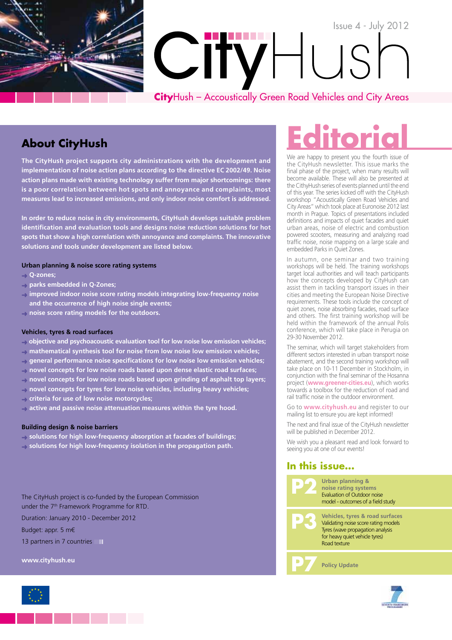

## **About CityHush**

**The CityHush project supports city administrations with the development and implementation of noise action plans according to the directive EC 2002/49. Noise action plans made with existing technology suffer from major shortcomings: there is a poor correlation between hot spots and annoyance and complaints, most measures lead to increased emissions, and only indoor noise comfort is addressed.**

**In order to reduce noise in city environments, CityHush develops suitable problem identification and evaluation tools and designs noise reduction solutions for hot spots that show a high correlation with annoyance and complaints. The innovative solutions and tools under development are listed below.** 

### **Urban planning & noise score rating systems**

- ➜ **Q-zones;**
- ➜ **parks embedded in Q-Zones;**
- ➜ **improved indoor noise score rating models integrating low-frequency noise and the occurrence of high noise single events;**
- ➜ **noise score rating models for the outdoors.**

#### **Vehicles, tyres & road surfaces**

➜ **objective and psychoacoustic evaluation tool for low noise low emission vehicles;**

- ➜ **mathematical synthesis tool for noise from low noise low emission vehicles;**
- ➜ **general performance noise specifications for low noise low emission vehicles;**
- ➜ **novel concepts for low noise roads based upon dense elastic road surfaces;**
- ➜ **novel concepts for low noise roads based upon grinding of asphalt top layers;**
- ➜ **novel concepts for tyres for low noise vehicles, including heavy vehicles;**
- ➜ **criteria for use of low noise motorcycles;**
- ➜ **active and passive noise attenuation measures within the tyre hood.**

### **Building design & noise barriers**

➜ **solutions for high low-frequency absorption at facades of buildings;**

➜ **solutions for high low-frequency isolation in the propagation path.**

The CityHush project is co-funded by the European Commission under the 7th Framework Programme for RTD. Duration: January 2010 - December 2012

Budget: appr. 5 m€ 13 partners in 7 countries **II** 

**www.cityhush.eu**

# **Editorial**

We are happy to present you the fourth issue of the CityHush newsletter. This issue marks the final phase of the project, when many results will become available. These will also be presented at the CithyHush series of events planned until the end of this year. The series kicked off with the CityHush workshop "Acoustically Green Road Vehicles and City Areas" which took place at Euronoise 2012 last month in Prague. Topics of presentations included definitions and impacts of quiet facades and quiet urban areas, noise of electric and combustion powered scooters, measuring and analyzing road traffic noise, noise mapping on a large scale and embedded Parks in Quiet Zones.

In autumn, one seminar and two training workshops will be held. The training workshops target local authorities and will teach participants how the concepts developed by CityHush can assist them in tackling transport issues in their cities and meeting the European Noise Directive requirements. These tools include the concept of quiet zones, noise absorbing facades, road surface and others. The first training workshop will be held within the framework of the annual Polis conference, which will take place in Perugia on 29-30 November 2012.

The seminar, which will target stakeholders from different sectors interested in urban transport noise abatement, and the second training workshop will take place on 10-11 December in Stockholm, in conjunction with the final seminar of the Hosanna project (**www.greener-cities.eu**), which works towards a toolbox for the reduction of road and rail traffic noise in the outdoor environment.

Go to **www.cityhush.eu** and register to our mailing list to ensure you are kept informed!

The next and final issue of the CityHush newsletter will be published in December 2012.

We wish you a pleasant read and look forward to seeing you at one of our events!

## **In this issue...**





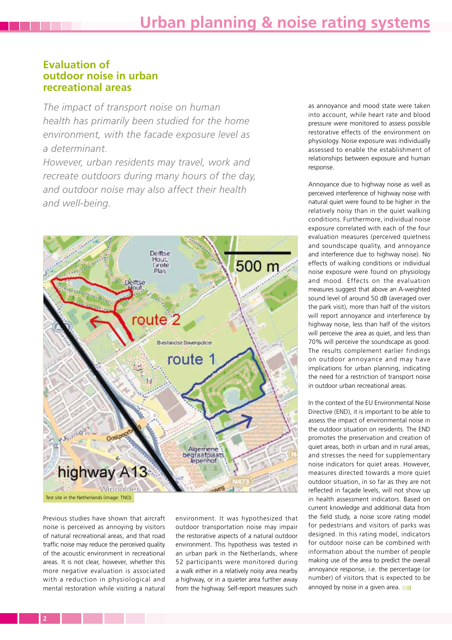## **Evaluation of outdoor noise in urban recreational areas**

*The impact of transport noise on human health has primarily been studied for the home environment, with the facade exposure level as a determinant.* 

*However, urban residents may travel, work and recreate outdoors during many hours of the day, and outdoor noise may also affect their health and well-being.* 



Previous studies have shown that aircraft noise is perceived as annoying by visitors of natural recreational areas, and that road traffic noise may reduce the perceived quality of the acoustic environment in recreational areas. It is not clear, however, whether this more negative evaluation is associated with a reduction in physiological and mental restoration while visiting a natural

environment. It was hypothesized that outdoor transportation noise may impair the restorative aspects of a natural outdoor environment. This hypothesis was tested in an urban park in the Netherlands, where 52 participants were monitored during a walk either in a relatively noisy area nearby a highway, or in a quieter area further away from the highway. Self-report measures such

as annoyance and mood state were taken into account, while heart rate and blood pressure were monitored to assess possible restorative effects of the environment on physiology. Noise exposure was individually assessed to enable the establishment of relationships between exposure and human response.

Annoyance due to highway noise as well as perceived interference of highway noise with natural quiet were found to be higher in the relatively noisy than in the quiet walking conditions. Furthermore, individual noise exposure correlated with each of the four evaluation measures (perceived quietness and soundscape quality, and annoyance and interference due to highway noise). No effects of walking conditions or individual noise exposure were found on physiology and mood. Effects on the evaluation measures suggest that above an A-weighted sound level of around 50 dB (averaged over the park visit), more than half of the visitors will report annoyance and interference by highway noise, less than half of the visitors will perceive the area as quiet, and less than 70% will perceive the soundscape as good. The results complement earlier findings on outdoor annoyance and may have implications for urban planning, indicating the need for a restriction of transport noise in outdoor urban recreational areas.

In the context of the EU Environmental Noise Directive (END), it is important to be able to assess the impact of environmental noise in the outdoor situation on residents. The END promotes the preservation and creation of quiet areas, both in urban and in rural areas, and stresses the need for supplementary noise indicators for quiet areas. However, measures directed towards a more quiet outdoor situation, in so far as they are not reflected in façade levels, will not show up in health assessment indicators. Based on current knowledge and additional data from the field study, a noise score rating model for pedestrians and visitors of parks was designed. In this rating model, indicators for outdoor noise can be combined with information about the number of people making use of the area to predict the overall annoyance response, i.e. the percentage (or number) of visitors that is expected to be annoyed by noise in a given area.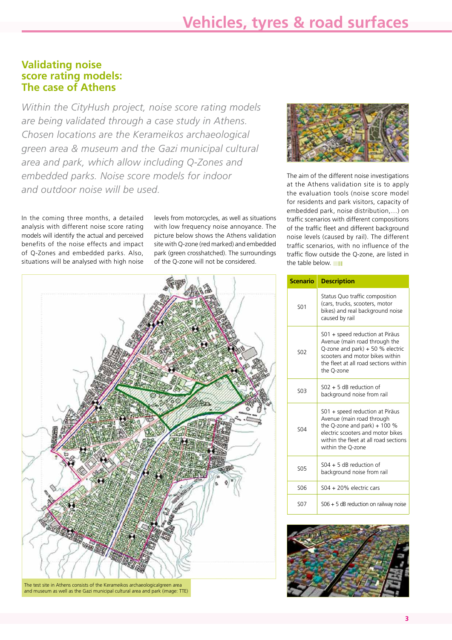## **Validating noise score rating models: The case of Athens**

*Within the CityHush project, noise score rating models are being validated through a case study in Athens. Chosen locations are the Kerameikos archaeological green area & museum and the Gazi municipal cultural area and park, which allow including Q-Zones and embedded parks. Noise score models for indoor and outdoor noise will be used.* 

In the coming three months, a detailed analysis with different noise score rating models will identify the actual and perceived benefits of the noise effects and impact of Q-Zones and embedded parks. Also, situations will be analysed with high noise levels from motorcycles, as well as situations with low frequency noise annoyance. The picture below shows the Athens validation site with Q-zone (red marked) and embedded park (green crosshatched). The surroundings of the Q-zone will not be considered.



The aim of the different noise investigations at the Athens validation site is to apply the evaluation tools (noise score model for residents and park visitors, capacity of embedded park, noise distribution,…) on traffic scenarios with different compositions of the traffic fleet and different background noise levels (caused by rail). The different traffic scenarios, with no influence of the traffic flow outside the Q-zone, are listed in the table below.



and museum as well as the Gazi municipal cultural area and park (image: TTE)

| <b>Scenario</b>       | <b>Description</b>                                                                                                                                                                                |
|-----------------------|---------------------------------------------------------------------------------------------------------------------------------------------------------------------------------------------------|
| SO <sub>1</sub>       | Status Quo traffic composition<br>(cars, trucks, scooters, motor<br>bikes) and real background noise<br>caused by rail                                                                            |
| <b>SO<sub>2</sub></b> | S01 + speed reduction at Piräus<br>Avenue (main road through the<br>Q-zone and park) + 50 % electric<br>scooters and motor bikes within<br>the fleet at all road sections within<br>the Q-zone    |
| 503                   | $502 + 5$ dB reduction of<br>background noise from rail                                                                                                                                           |
| SO4                   | S01 + speed reduction at Piräus<br>Avenue (main road through<br>the Q-zone and park) + $100\%$<br>electric scooters and motor bikes<br>within the fleet at all road sections<br>within the Q-zone |
| <b>SO5</b>            | $504 + 5$ dB reduction of<br>background noise from rail                                                                                                                                           |
| S <sub>06</sub>       | S04 + 20% electric cars                                                                                                                                                                           |
| <b>SO7</b>            | $506 + 5$ dB reduction on railway noise                                                                                                                                                           |

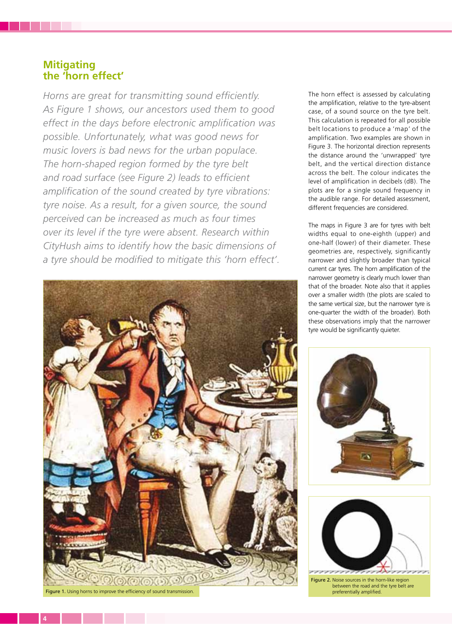## **Mitigating the 'horn effect'**

*Horns are great for transmitting sound efficiently. As Figure 1 shows, our ancestors used them to good effect in the days before electronic amplification was possible. Unfortunately, what was good news for music lovers is bad news for the urban populace. The horn-shaped region formed by the tyre belt and road surface (see Figure 2) leads to efficient amplification of the sound created by tyre vibrations: tyre noise. As a result, for a given source, the sound perceived can be increased as much as four times over its level if the tyre were absent. Research within CityHush aims to identify how the basic dimensions of a tyre should be modified to mitigate this 'horn effect'.*



Figure 1. Using horns to improve the efficiency of sound transmission.

The horn effect is assessed by calculating the amplification, relative to the tyre-absent case, of a sound source on the tyre belt. This calculation is repeated for all possible belt locations to produce a 'map' of the amplification. Two examples are shown in Figure 3. The horizontal direction represents the distance around the 'unwrapped' tyre belt, and the vertical direction distance across the belt. The colour indicates the level of amplification in decibels (dB). The plots are for a single sound frequency in the audible range. For detailed assessment, different frequencies are considered.

The maps in Figure 3 are for tyres with belt widths equal to one-eighth (upper) and one-half (lower) of their diameter. These geometries are, respectively, significantly narrower and slightly broader than typical current car tyres. The horn amplification of the narrower geometry is clearly much lower than that of the broader. Note also that it applies over a smaller width (the plots are scaled to the same vertical size, but the narrower tyre is one-quarter the width of the broader). Both these observations imply that the narrower tyre would be significantly quieter.





Figure 2. Noise sources in the horn-like region between the road and the tyre belt are preferentially amplified.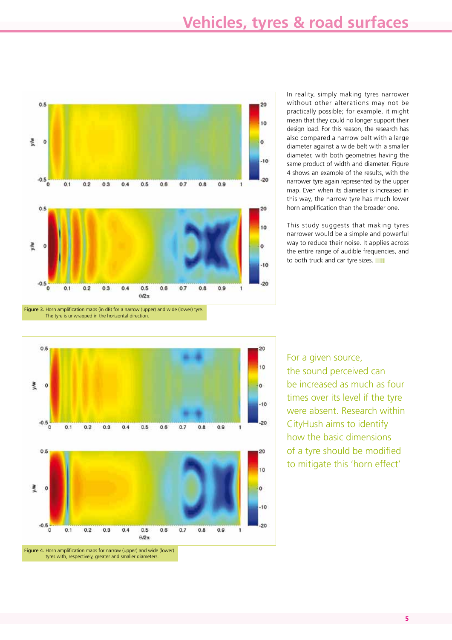

In reality, simply making tyres narrower without other alterations may not be practically possible; for example, it might mean that they could no longer support their design load. For this reason, the research has also compared a narrow belt with a large diameter against a wide belt with a smaller diameter, with both geometries having the same product of width and diameter. Figure 4 shows an example of the results, with the narrower tyre again represented by the upper map. Even when its diameter is increased in this way, the narrow tyre has much lower horn amplification than the broader one.

This study suggests that making tyres narrower would be a simple and powerful way to reduce their noise. It applies across the entire range of audible frequencies, and to both truck and car tyre sizes.



For a given source, the sound perceived can be increased as much as four times over its level if the tyre were absent. Research within CityHush aims to identify how the basic dimensions of a tyre should be modified to mitigate this 'horn effect'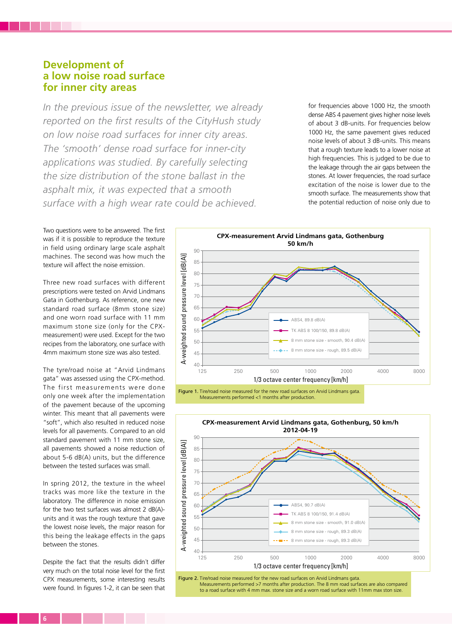## **Development of a low noise road surface for inner city areas**

*In the previous issue of the newsletter, we already reported on the first results of the CityHush study on low noise road surfaces for inner city areas. The 'smooth' dense road surface for inner-city applications was studied. By carefully selecting the size distribution of the stone ballast in the asphalt mix, it was expected that a smooth surface with a high wear rate could be achieved.*

for frequencies above 1000 Hz, the smooth dense ABS 4 pavement gives higher noise levels of about 3 dB-units. For frequencies below 1000 Hz, the same pavement gives reduced noise levels of about 3 dB-units. This means that a rough texture leads to a lower noise at high frequencies. This is judged to be due to the leakage through the air gaps between the stones. At lower frequencies, the road surface excitation of the noise is lower due to the smooth surface. The measurements show that the potential reduction of noise only due to

Two questions were to be answered. The first was if it is possible to reproduce the texture in field using ordinary large scale asphalt machines. The second was how much the texture will affect the noise emission.

Three new road surfaces with different prescriptions were tested on Arvid Lindmans Gata in Gothenburg. As reference, one new standard road surface (8mm stone size) and one worn road surface with 11 mm maximum stone size (only for the CPXmeasurement) were used. Except for the two recipes from the laboratory, one surface with 4mm maximum stone size was also tested.

The tyre/road noise at "Arvid Lindmans gata" was assessed using the CPX-method. The first measurements were done only one week after the implementation of the pavement because of the upcoming winter. This meant that all pavements were "soft", which also resulted in reduced noise levels for all pavements. Compared to an old standard pavement with 11 mm stone size, all pavements showed a noise reduction of about 5-6  $dB(A)$  units, but the difference between the tested surfaces was small.

In spring 2012, the texture in the wheel tracks was more like the texture in the laboratory. The difference in noise emission for the two test surfaces was almost 2 dB(A) units and it was the rough texture that gave the lowest noise levels, the major reason for this being the leakage effects in the gaps between the stones.

Despite the fact that the results didn´t differ very much on the total noise level for the first CPX measurements, some interesting results were found. In figures 1-2, it can be seen that



Figure 1. Tire/road noise measured for the new road surfaces on Arvid Lindmans gata. Measurements performed <1 months after production.



Measurements performed >7 months after production. The 8 mm road surfaces are also compared to a road surface with 4 mm max. stone size and a worn road surface with 11mm max ston size.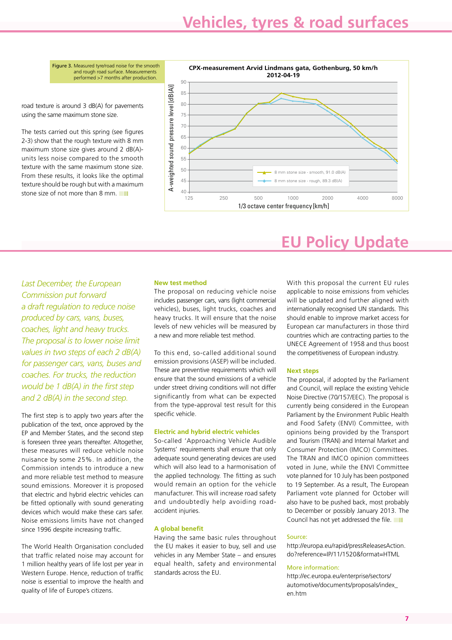Figure 3. Measured tyre/road noise for the smooth and rough road surface. Measurements performed >7 months after production.

road texture is around 3 dB(A) for pavements using the same maximum stone size.

The tests carried out this spring (see figures 2-3) show that the rough texture with 8 mm maximum stone size gives around 2 dB(A) units less noise compared to the smooth texture with the same maximum stone size. From these results, it looks like the optimal texture should be rough but with a maximum stone size of not more than 8 mm.



## *Last December, the European Commission put forward a draft regulation to reduce noise produced by cars, vans, buses, coaches, light and heavy trucks. The proposal is to lower noise limit values in two steps of each 2 dB(A) for passenger cars, vans, buses and coaches. For trucks, the reduction would be 1 dB(A) in the first step and 2 dB(A) in the second step.*

The first step is to apply two years after the publication of the text, once approved by the EP and Member States, and the second step is foreseen three years thereafter. Altogether, these measures will reduce vehicle noise nuisance by some 25%. In addition, the Commission intends to introduce a new and more reliable test method to measure sound emissions. Moreover it is proposed that electric and hybrid electric vehicles can be fitted optionally with sound generating devices which would make these cars safer. Noise emissions limits have not changed since 1996 despite increasing traffic.

The World Health Organisation concluded that traffic related noise may account for 1 million healthy years of life lost per year in Western Europe. Hence, reduction of traffic noise is essential to improve the health and quality of life of Europe's citizens.

### **New test method**

The proposal on reducing vehicle noise includes passenger cars, vans (light commercial vehicles), buses, light trucks, coaches and heavy trucks. It will ensure that the noise levels of new vehicles will be measured by a new and more reliable test method.

To this end, so-called additional sound emission provisions (ASEP) will be included. These are preventive requirements which will ensure that the sound emissions of a vehicle under street driving conditions will not differ significantly from what can be expected from the type-approval test result for this specific vehicle.

#### **Electric and hybrid electric vehicles**

So-called 'Approaching Vehicle Audible Systems' requirements shall ensure that only adequate sound generating devices are used which will also lead to a harmonisation of the applied technology. The fitting as such would remain an option for the vehicle manufacturer. This will increase road safety and undoubtedly help avoiding roadaccident injuries.

#### **A global benefit**

Having the same basic rules throughout the EU makes it easier to buy, sell and use vehicles in any Member State – and ensures equal health, safety and environmental standards across the EU.

## **EU Policy Update**

With this proposal the current EU rules applicable to noise emissions from vehicles will be updated and further aligned with internationally recognised UN standards. This should enable to improve market access for European car manufacturers in those third countries which are contracting parties to the UNECE Agreement of 1958 and thus boost the competitiveness of European industry.

#### **Next steps**

The proposal, if adopted by the Parliament and Council, will replace the existing Vehicle Noise Directive (70/157/EEC). The proposal is currently being considered in the European Parliament by the Environment Public Health and Food Safety (ENVI) Committee, with opinions being provided by the Transport and Tourism (TRAN) and Internal Market and Consumer Protection (IMCO) Committees. The TRAN and IMCO opinion committees voted in June, while the ENVI Committee vote planned for 10 July has been postponed to 19 September. As a result, The European Parliament vote planned for October will also have to be pushed back, most probably to December or possibly January 2013. The Council has not yet addressed the file.

#### Source:

http://europa.eu/rapid/pressReleasesAction. do?reference=IP/11/1520&format=HTML

#### More information:

http://ec.europa.eu/enterprise/sectors/ automotive/documents/proposals/index\_ en.htm